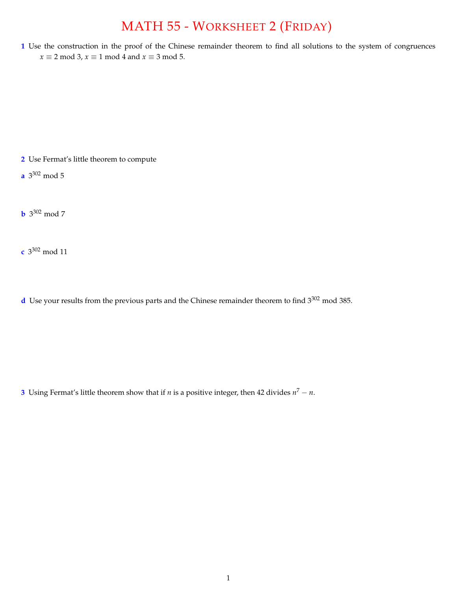## MATH 55 - WORKSHEET 2 (FRIDAY)

**1** Use the construction in the proof of the Chinese remainder theorem to find all solutions to the system of congruences  $x \equiv 2 \mod 3$ ,  $x \equiv 1 \mod 4$  and  $x \equiv 3 \mod 5$ .

**2** Use Fermat's little theorem to compute

**a** 3302 mod 5

**b** 3302 mod 7

**c** 3302 mod 11

**d** Use your results from the previous parts and the Chinese remainder theorem to find 3<sup>302</sup> mod 385.

**3** Using Fermat's little theorem show that if *n* is a positive integer, then 42 divides  $n^7 - n$ .